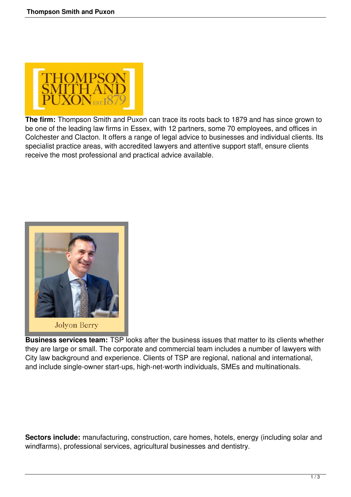

**The firm:** Thompson Smith and Puxon can trace its roots back to 1879 and has since grown to be one of the leading law firms in Essex, with 12 partners, some 70 employees, and offices in Colchester and Clacton. It offers a range of legal advice to businesses and individual clients. Its specialist practice areas, with accredited lawyers and attentive support staff, ensure clients receive the most professional and practical advice available.



**Business services team:** TSP looks after the business issues that matter to its clients whether they are large or small. The corporate and commercial team includes a number of lawyers with City law background and experience. Clients of TSP are regional, national and international, and include single-owner start-ups, high-net-worth individuals, SMEs and multinationals.

**Sectors include:** manufacturing, construction, care homes, hotels, energy (including solar and windfarms), professional services, agricultural businesses and dentistry.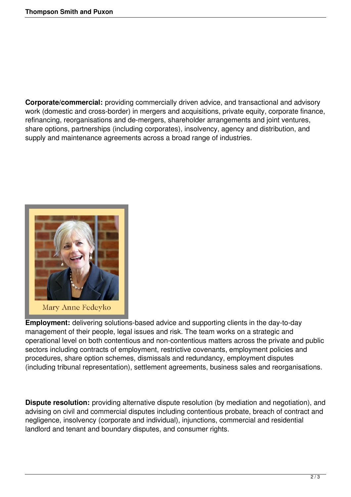**Corporate/commercial:** providing commercially driven advice, and transactional and advisory work (domestic and cross-border) in mergers and acquisitions, private equity, corporate finance, refinancing, reorganisations and de-mergers, shareholder arrangements and joint ventures, share options, partnerships (including corporates), insolvency, agency and distribution, and supply and maintenance agreements across a broad range of industries.



**Employment:** delivering solutions-based advice and supporting clients in the day-to-day management of their people, legal issues and risk. The team works on a strategic and operational level on both contentious and non-contentious matters across the private and public sectors including contracts of employment, restrictive covenants, employment policies and procedures, share option schemes, dismissals and redundancy, employment disputes (including tribunal representation), settlement agreements, business sales and reorganisations.

**Dispute resolution:** providing alternative dispute resolution (by mediation and negotiation), and advising on civil and commercial disputes including contentious probate, breach of contract and negligence, insolvency (corporate and individual), injunctions, commercial and residential landlord and tenant and boundary disputes, and consumer rights.